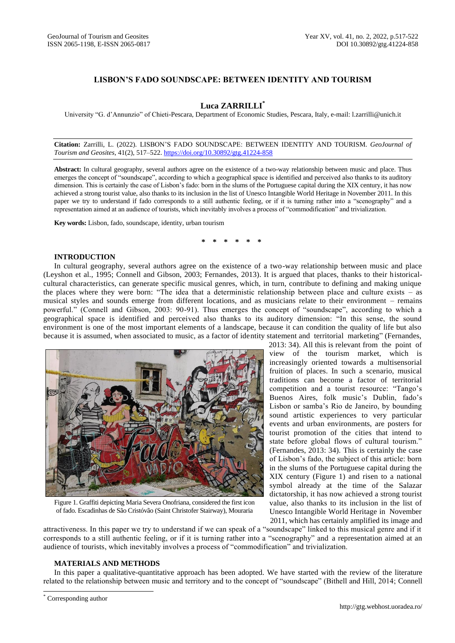# **LISBON'S FADO SOUNDSCAPE: BETWEEN IDENTITY AND TOURISM**

## **Luca ZARRILLI\***

University "G. d'Annunzio" of Chieti-Pescara, Department of Economic Studies, Pescara, Italy, e-mail: l.zarrilli@unich.it

**Citation:** Zarrilli, L. (2022). LISBON'S FADO SOUNDSCAPE: BETWEEN IDENTITY AND TOURISM. *GeoJournal of Tourism and Geosites*, 41(2), 517–522. <https://doi.org/10.30892/gtg.41224-858>

**Abstract:** In cultural geography, several authors agree on the existence of a two-way relationship between music and place. Thus emerges the concept of "soundscape", according to which a geographical space is identified and perceived also thanks to its auditory dimension. This is certainly the case of Lisbon's fado: born in the slums of the Portuguese capital during the XIX century, it has now achieved a strong tourist value, also thanks to its inclusion in the list of Unesco Intangible World Heritage in November 2011. In this paper we try to understand if fado corresponds to a still authentic feeling, or if it is turning rather into a "scenography" and a representation aimed at an audience of tourists, which inevitably involves a process of "commodification" and trivialization.

**Key words:** Lisbon, fado, soundscape, identity, urban tourism

**\* \* \* \* \* \***

## **INTRODUCTION**

In cultural geography, several authors agree on the existence of a two-way relationship between music and place (Leyshon et al., 1995; Connell and Gibson, 2003; Fernandes, 2013). It is argued that places, thanks to their historicalcultural characteristics, can generate specific musical genres, which, in turn, contribute to defining and making unique the places where they were born: "The idea that a deterministic relationship between place and culture exists – as musical styles and sounds emerge from different locations, and as musicians relate to their environment – remains powerful." (Connell and Gibson, 2003: 90-91). Thus emerges the concept of "soundscape", according to which a geographical space is identified and perceived also thanks to its auditory dimension: "In this sense, the sound environment is one of the most important elements of a landscape, because it can condition the quality of life but also because it is assumed, when associated to music, as a factor of identity statement and territorial marketing" (Fernandes,



Figure 1. Graffiti depicting Maria Severa Onofriana, considered the first icon of fado. Escadinhas de São Cristóvão (Saint Christofer Stairway), Mouraria

 2013: 34). All this is relevant from the point of view of the tourism market, which is increasingly oriented towards a multisensorial fruition of places. In such a scenario, musical traditions can become a factor of territorial competition and a tourist resource: "Tango's Buenos Aires, folk music's Dublin, fado's Lisbon or samba's Rio de Janeiro, by bounding sound artistic experiences to very particular events and urban environments, are posters for tourist promotion of the cities that intend to state before global flows of cultural tourism." (Fernandes, 2013: 34). This is certainly the case of Lisbon's fado, the subject of this article: born in the slums of the Portuguese capital during the XIX century (Figure 1) and risen to a national symbol already at the time of the Salazar dictatorship, it has now achieved a strong tourist value, also thanks to its inclusion in the list of Unesco Intangible World Heritage in November 2011, which has certainly amplified its image and

attractiveness. In this paper we try to understand if we can speak of a "soundscape" linked to this musical genre and if it corresponds to a still authentic feeling, or if it is turning rather into a "scenography" and a representation aimed at an audience of tourists, which inevitably involves a process of "commodification" and trivialization.

### **MATERIALS AND METHODS**

In this paper a qualitative-quantitative approach has been adopted. We have started with the review of the literature related to the relationship between music and territory and to the concept of "soundscape" (Bithell and Hill, 2014; Connell

 $\overline{\phantom{a}}$ 

<sup>\*</sup> Corresponding author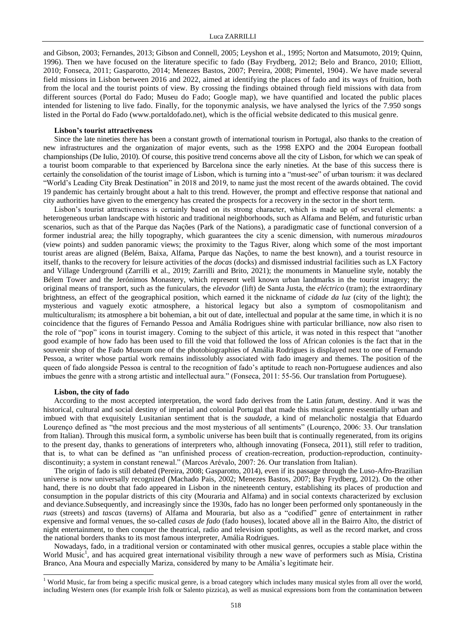and Gibson, 2003; Fernandes, 2013; Gibson and Connell, 2005; Leyshon et al., 1995; Norton and Matsumoto, 2019; Quinn, 1996). Then we have focused on the literature specific to fado (Bay Frydberg, 2012; Belo and Branco, 2010; Elliott, 2010; Fonseca, 2011; Gasparotto, 2014; Menezes Bastos, 2007; Pereira, 2008; Pimentel, 1904). We have made several field missions in Lisbon between 2016 and 2022, aimed at identifying the places of fado and its ways of fruition, both from the local and the tourist points of view. By crossing the findings obtained through field missions with data from different sources (Portal do Fado; Museu do Fado; Google map), we have quantified and located the public places intended for listening to live fado. Finally, for the toponymic analysis, we have analysed the lyrics of the 7.950 songs listed in the Portal do Fado (www.portaldofado.net), which is the official website dedicated to this musical genre.

#### **Lisbon's tourist attractiveness**

Since the late nineties there has been a constant growth of international tourism in Portugal, also thanks to the creation of new infrastructures and the organization of major events, such as the 1998 EXPO and the 2004 European football championships (De Iulio, 2010). Of course, this positive trend concerns above all the city of Lisbon, for which we can speak of a tourist boom comparable to that experienced by Barcelona since the early nineties. At the base of this success there is certainly the consolidation of the tourist image of Lisbon, which is turning into a "must-see" of urban tourism: it was declared "World's Leading City Break Destination" in 2018 and 2019, to name just the most recent of the awards obtained. The covid 19 pandemic has certainly brought about a halt to this trend. However, the prompt and effective response that national and city authorities have given to the emergency has created the prospects for a recovery in the sector in the short term.

Lisbon's tourist attractiveness is certainly based on its strong character, which is made up of several elements: a heterogeneous urban landscape with historic and traditional neighborhoods, such as Alfama and Belém, and futuristic urban scenarios, such as that of the Parque das Nações (Park of the Nations), a paradigmatic case of functional conversion of a former industrial area; the hilly topography, which guarantees the city a scenic dimension, with numerous *miradouros*  (view points) and sudden panoramic views; the proximity to the Tagus River, along which some of the most important tourist areas are aligned (Belém, Baixa, Alfama, Parque das Nações, to name the best known), and a tourist resource in itself, thanks to the recovery for leisure activities of the *docas* (docks) and dismissed industrial facilities such as LX Factory and Village Underground (Zarrilli et al., 2019; Zarrilli and Brito, 2021); the monuments in Manueline style, notably the Bélem Tower and the Jerónimos Monastery, which represent well known urban landmarks in the tourist imagery; the original means of transport, such as the funiculars, the *elevador* (lift) de Santa Justa, the *eléctrico* (tram); the extraordinary brightness, an effect of the geographical position, which earned it the nickname of *cidade da luz* (city of the light); the mysterious and vaguely exotic atmosphere, a historical legacy but also a symptom of cosmopolitanism and multiculturalism; its atmosphere a bit bohemian, a bit out of date, intellectual and popular at the same time, in which it is no coincidence that the figures of Fernando Pessoa and Amália Rodrigues shine with particular brilliance, now also risen to the role of "pop" icons in tourist imagery. Coming to the subject of this article, it was noted in this respect that "another good example of how fado has been used to fill the void that followed the loss of African colonies is the fact that in the souvenir shop of the Fado Museum one of the photobiographies of Amália Rodrigues is displayed next to one of Fernando Pessoa, a writer whose partial work remains indissolubly associated with fado imagery and themes. The position of the queen of fado alongside Pessoa is central to the recognition of fado's aptitude to reach non-Portuguese audiences and also imbues the genre with a strong artistic and intellectual aura." (Fonseca, 2011: 55-56. Our translation from Portuguese).

#### **Lisbon, the city of fado**

 $\overline{\phantom{a}}$ 

According to the most accepted interpretation, the word fado derives from the Latin *fatum*, destiny. And it was the historical, cultural and social destiny of imperial and colonial Portugal that made this musical genre essentially urban and imbued with that exquisitely Lusitanian sentiment that is the *saudade*, a kind of melancholic nostalgia that Eduardo Lourenço defined as "the most precious and the most mysterious of all sentiments" (Lourenço, 2006: 33. Our translation from Italian). Through this musical form, a symbolic universe has been built that is continually regenerated, from its origins to the present day, thanks to generations of interpreters who, although innovating (Fonseca, 2011), still refer to tradition, that is, to what can be defined as "an unfinished process of creation-recreation, production-reproduction, continuitydiscontinuity; a system in constant renewal." (Marcos Arévalo, 2007: 26. Our translation from Italian).

The origin of fado is still debated (Pereira, 2008; Gasparotto, 2014), even if its passage through the Luso-Afro-Brazilian universe is now universally recognized (Machado Pais, 2002; Menezes Bastos, 2007; Bay Frydberg, 2012). On the other hand, there is no doubt that fado appeared in Lisbon in the nineteenth century, establishing its places of production and consumption in the popular districts of this city (Mouraria and Alfama) and in social contexts characterized by exclusion and deviance.Subsequently, and increasingly since the 1930s, fado has no longer been performed only spontaneously in the *ruas* (streets) and *tascas* (taverns) of Alfama and Mouraria, but also as a "codified" genre of entertainment in rather expensive and formal venues, the so-called *casas de fado* (fado houses), located above all in the Bairro Alto, the district of night entertainment, to then conquer the theatrical, radio and television spotlights, as well as the record market, and cross the national borders thanks to its most famous interpreter, Amália Rodrigues.

Nowadays, fado, in a traditional version or contaminated with other musical genres, occupies a stable place within the World Music<sup>1</sup>, and has acquired great international visibility through a new wave of performers such as Mísia, Cristina Branco, Ana Moura and especially Mariza, considered by many to be Amália's legitimate heir.

<sup>&</sup>lt;sup>1</sup> World Music, far from being a specific musical genre, is a broad category which includes many musical styles from all over the world, including Western ones (for example Irish folk or Salento pizzica), as well as musical expressions born from the contamination between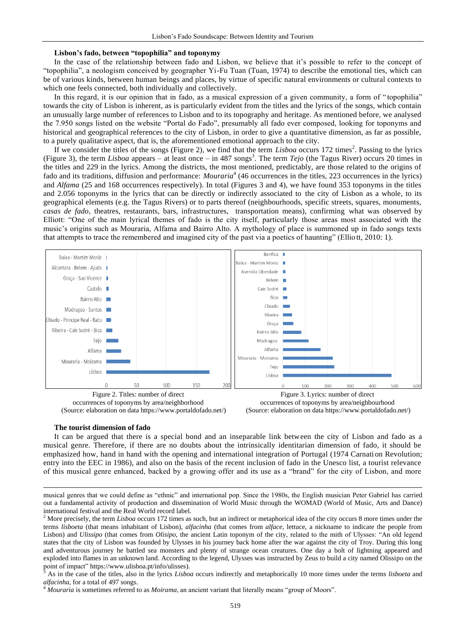#### **Lisbon's fado, between "topophilia" and toponymy**

In the case of the relationship between fado and Lisbon, we believe that it's possible to refer to the concept of "topophilia", a neologism conceived by geographer Yi-Fu Tuan (Tuan, 1974) to describe the emotional ties, which can be of various kinds, between human beings and places, by virtue of specific natural environments or cultural contexts to which one feels connected, both individually and collectively.

In this regard, it is our opinion that in fado, as a musical expression of a given community, a form of " topophilia" towards the city of Lisbon is inherent, as is particularly evident from the titles and the lyrics of the songs, which contain an unusually large number of references to Lisbon and to its topography and heritage. As mentioned before, we analysed the 7.950 songs listed on the website "Portal do Fado", presumably all fado ever composed, looking for toponyms and historical and geographical references to the city of Lisbon, in order to give a quantitative dimension, as far as possible, to a purely qualitative aspect, that is, the aforementioned emotional approach to the city.

If we consider the titles of the songs (Figure 2), we find that the term *Lisboa* occurs 172 times<sup>2</sup>. Passing to the lyrics (Figure 3), the term *Lisboa* appears – at least once – in 487 songs<sup>3</sup>. The term *Tejo* (the Tagus River) occurs 20 times in the titles and 229 in the lyrics. Among the districts, the most mentioned, predictably, are those related to the origins of fado and its traditions, diffusion and performance: *Mouraria*<sup>4</sup> (46 occurrences in the titles, 223 occurrences in the lyrics) and *Alfama* (25 and 168 occurrences respectively). In total (Figures 3 and 4), we have found 353 toponyms in the titles and 2.056 toponyms in the lyrics that can be directly or indirectly associated to the city of Lisbon as a whole, to its geographical elements (e.g. the Tagus Rivers) or to parts thereof (neighbourhoods, specific streets, squares, monuments, *casas de fado*, theatres, restaurants, bars, infrastructures, transportation means), confirming what was observed by Elliott: "One of the main lyrical themes of fado is the city itself, particularly those areas most associated with the music's origins such as Mouraria, Alfama and Bairro Alto. A mythology of place is summoned up in fado songs texts that attempts to trace the remembered and imagined city of the past via a poetics of haunting" (Ellio tt, 2010: 1).



occurrences of toponyms by area/neighborhood (Source: elaboration on data https://www.portaldofado.net/)



#### **The tourist dimension of fado**

 $\overline{\phantom{a}}$ 

It can be argued that there is a special bond and an inseparable link between the city of Lisbon and fado as a musical genre. Therefore, if there are no doubts about the intrinsically identitarian dimension of fado, it should be emphasized how, hand in hand with the opening and international integration of Portugal (1974 Carnati on Revolution; entry into the EEC in 1986), and also on the basis of the recent inclusion of fado in the Unesco list, a tourist relevance of this musical genre enhanced, backed by a growing offer and its use as a "brand" for the city of Lisbon, and more

<sup>3</sup> As in the case of the titles, also in the lyrics *Lisboa* occurs indirectly and metaphorically 10 more times under the terms *lisboeta* and *alfacinha*, for a total of 497 songs.

<sup>4</sup> *Mouraria* is sometimes referred to as *Moirama*, an ancient variant that literally means "group of Moors".

musical genres that we could define as "ethnic" and international pop. Since the 1980s, the English musician Peter Gabriel has carried out a fundamental activity of production and dissemination of World Music through the WOMAD (World of Music, Arts and Dance) international festival and the Real World record label.

<sup>&</sup>lt;sup>2</sup> More precisely, the term *Lisboa* occurs 172 times as such, but an indirect or metaphorical idea of the city occurs 8 more times under the terms *lisboeta* (that means inhabitant of Lisbon), *alfacinha* (that comes from *alface*, lettuce, a nickname to indicate the people from Lisbon) and *Ulissipo* (that comes from *Olisipo*, the ancient Latin toponym of the city, related to the mith of Ulysses: "An old legend states that the city of Lisbon was founded by Ulysses in his journey back home after the war against the city of Troy. During this long and adventurous journey he battled sea monsters and plenty of strange ocean creatures. One day a bolt of lightning appeared and exploded into flames in an unknown land. According to the legend, Ulysses was instructed by Zeus to build a city named Olissipo on the point of impact" [https://www.ulisboa.pt/info/ulisses\)](https://www.ulisboa.pt/info/ulisses).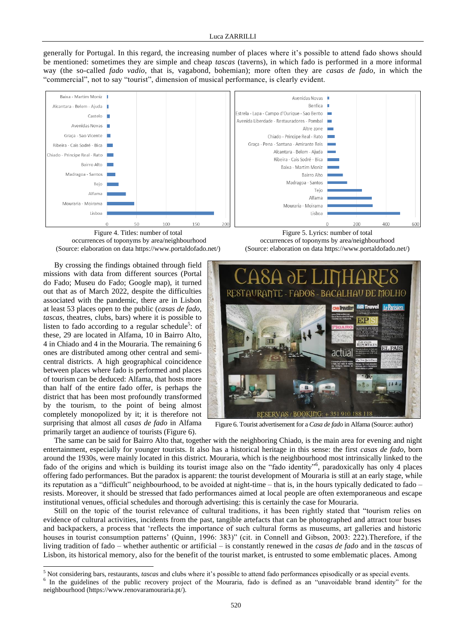generally for Portugal. In this regard, the increasing number of places where it's possible to attend fado shows should be mentioned: sometimes they are simple and cheap *tascas* (taverns), in which fado is performed in a more informal way (the so-called *fado vadio*, that is, vagabond, bohemian); more often they are *casas de fado*, in which the "commercial", not to say "tourist", dimension of musical performance, is clearly evident.





By crossing the findings obtained through field missions with data from different sources (Portal do Fado; Museu do Fado; Google map), it turned out that as of March 2022, despite the difficulties associated with the pandemic, there are in Lisbon at least 53 places open to the public (*casas de fado*, *tascas*, theatres, clubs, bars) where it is possible to listen to fado according to a regular schedule<sup>5</sup>: of these, 29 are located in Alfama, 10 in Bairro Alto, 4 in Chiado and 4 in the Mouraria. The remaining 6 ones are distributed among other central and semicentral districts. A high geographical coincidence between places where fado is performed and places of tourism can be deduced: Alfama, that hosts more than half of the entire fado offer, is perhaps the district that has been most profoundly transformed by the tourism, to the point of being almost completely monopolized by it; it is therefore not surprising that almost all *casas de fado* in Alfama primarily target an audience of tourists (Figure 6).

 $\overline{\phantom{a}}$ 



Figure 5. Lyrics: number of total occurrences of toponyms by area/neighbourhood (Source: elaboration on data https://www.portaldofado.net/)



Figure 6. Tourist advertisement for a *Casa de fado* in Alfama (Source: author)

The same can be said for Bairro Alto that, together with the neighboring Chiado, is the main area for evening and night entertainment, especially for younger tourists. It also has a historical heritage in this sense: the first *casas de fado*, born around the 1930s, were mainly located in this district. Mouraria, which is the neighbourhood most intrinsically linked to the fado of the origins and which is building its tourist image also on the "fado identity"<sup>6</sup>, paradoxically has only 4 places offering fado performances. But the paradox is apparent: the tourist development of Mouraria is still at an early stage, while its reputation as a "difficult" neighbourhood, to be avoided at night-time – that is, in the hours typically dedicated to fado – resists. Moreover, it should be stressed that fado performances aimed at local people are often extemporaneous and escape institutional venues, official schedules and thorough advertising: this is certainly the case for Mouraria.

Still on the topic of the tourist relevance of cultural traditions, it has been rightly stated that "tourism relies on evidence of cultural activities, incidents from the past, tangible artefacts that can be photographed and attract tour buses and backpackers, a process that 'reflects the importance of such cultural forms as museums, art galleries and historic houses in tourist consumption patterns' (Quinn, 1996: 383)" (cit. in Connell and Gibson, 2003: 222). Therefore, if the living tradition of fado – whether authentic or artificial – is constantly renewed in the *casas de fado* and in the *tascas* of Lisbon, its historical memory, also for the benefit of the tourist market, is entrusted to some emblematic places. Among

<sup>5</sup> Not considering bars, restaurants, *tascas* and clubs where it's possible to attend fado performances episodically or as special events.

<sup>&</sup>lt;sup>6</sup> In the guidelines of the public recovery project of the Mouraria, fado is defined as an "unavoidable brand identity" for the neighbourhood [\(https://www.renovaramouraria.pt/\)](https://www.renovaramouraria.pt/).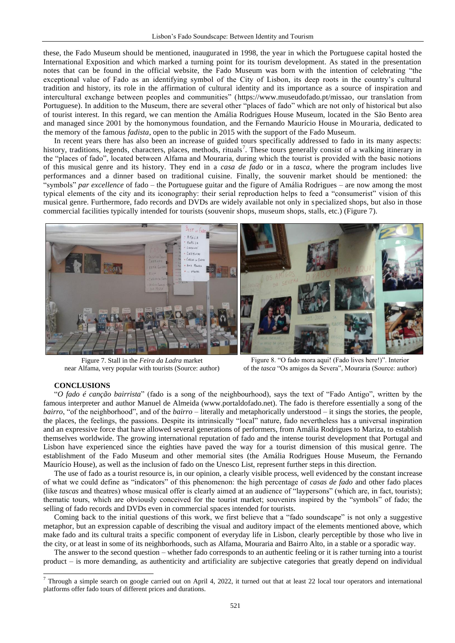these, the Fado Museum should be mentioned, inaugurated in 1998, the year in which the Portuguese capital hosted the International Exposition and which marked a turning point for its tourism development. As stated in the presentation notes that can be found in the official website, the Fado Museum was born with the intention of celebrating "the exceptional value of Fado as an identifying symbol of the City of Lisbon, its deep roots in the country's cultural tradition and history, its role in the affirmation of cultural identity and its importance as a source of inspiration and intercultural exchange between peoples and communities" [\(https://www.museudofado.pt/missao,](https://www.museudofado.pt/missao) our translation from Portuguese). In addition to the Museum, there are several other "places of fado" which are not only of historical but also of tourist interest. In this regard, we can mention the Amália Rodrigues House Museum, located in the São Bento area and managed since 2001 by the homonymous foundation, and the Fernando Maurício House in Mouraria, dedicated to the memory of the famous *fadista*, open to the public in 2015 with the support of the Fado Museum.

In recent years there has also been an increase of guided tours specifically addressed to fado in its many aspects: history, traditions, legends, characters, places, methods, rituals<sup>7</sup>. These tours generally consist of a walking itinerary in the "places of fado", located between Alfama and Mouraria, during which the tourist is provided with the basic notions of this musical genre and its history. They end in a *casa de fado* or in a *tasca*, where the program includes live performances and a dinner based on traditional cuisine. Finally, the souvenir market should be mentioned: the "symbols" *par excellence* of fado – the Portuguese guitar and the figure of Amália Rodrigues – are now among the most typical elements of the city and its iconography: their serial reproduction helps to feed a "consumerist" vision of this musical genre. Furthermore, fado records and DVDs are widely available not only in specialized shops, but also in those commercial facilities typically intended for tourists (souvenir shops, museum shops, stalls, etc.) (Figure 7).



Figure 7. Stall in the *Feira da Ladra* market near Alfama, very popular with tourists (Source: author)

Figure 8. "O fado mora aqui! (Fado lives here!)". Interior of the *tasca* "Os amigos da Severa", Mouraria (Source: author)

#### **CONCLUSIONS**

 $\overline{\phantom{a}}$ 

"*O fado é canção bairrista*" (fado is a song of the neighbourhood), says the text of "Fado Antigo", written by the famous interpreter and author Manuel de Almeida (www.portaldofado.net). The fado is therefore essentially a song of the *bairro*, "of the neighborhood", and of the *bairro* – literally and metaphorically understood – it sings the stories, the people, the places, the feelings, the passions. Despite its intrinsically "local" nature, fado nevertheless has a universal inspiration and an expressive force that have allowed several generations of performers, from Amália Rodrigues to Mariza, to establish themselves worldwide. The growing international reputation of fado and the intense tourist development that Portugal and Lisbon have experienced since the eighties have paved the way for a tourist dimension of this musical genre. The establishment of the Fado Museum and other memorial sites (the Amália Rodrigues House Museum, the Fernando Maurício House), as well as the inclusion of fado on the Unesco List, represent further steps in this direction.

The use of fado as a tourist resource is, in our opinion, a clearly visible process, well evidenced by the constant increase of what we could define as "indicators" of this phenomenon: the high percentage of *casas de fado* and other fado places (like *tascas* and theatres) whose musical offer is clearly aimed at an audience of "laypersons" (which are, in fact, tourists); thematic tours, which are obviously conceived for the tourist market; souvenirs inspired by the "symbols" of fado; the selling of fado records and DVDs even in commercial spaces intended for tourists.

Coming back to the initial questions of this work, we first believe that a "fado soundscape" is not only a suggestive metaphor, but an expression capable of describing the visual and auditory impact of the elements mentioned above, which make fado and its cultural traits a specific component of everyday life in Lisbon, clearly perceptible by those who live in the city, or at least in some of its neighborhoods, such as Alfama, Mouraria and Bairro Alto, in a stable or a sporadic way.

The answer to the second question – whether fado corresponds to an authentic feeling or it is rather turning into a tourist product – is more demanding, as authenticity and artificiality are subjective categories that greatly depend on individual

<sup>&</sup>lt;sup>7</sup> Through a simple search on google carried out on April 4, 2022, it turned out that at least 22 local tour operators and international platforms offer fado tours of different prices and durations.